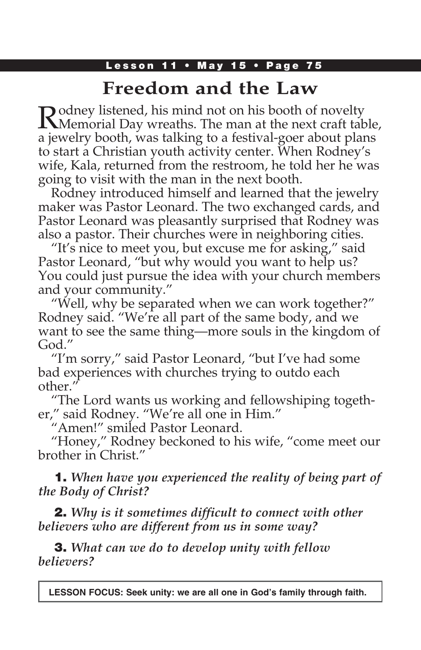### Lesson 11 • May 15 • Page 75

# **Freedom and the Law**

Rodney listened, his mind not on his booth of novelty Memorial Day wreaths. The man at the next craft table, a jewelry booth, was talking to a festival-goer about plans to start a Christian youth activity center. When Rodney's wife, Kala, returned from the restroom, he told her he was going to visit with the man in the next booth.

Rodney introduced himself and learned that the jewelry maker was Pastor Leonard. The two exchanged cards, and Pastor Leonard was pleasantly surprised that Rodney was also a pastor. Their churches were in neighboring cities.

"It's nice to meet you, but excuse me for asking," said Pastor Leonard, "but why would you want to help us? You could just pursue the idea with your church members and your community."

"Well, why be separated when we can work together?" Rodney said. "We're all part of the same body, and we want to see the same thing—more souls in the kingdom of God."

"I'm sorry," said Pastor Leonard, "but I've had some bad experiences with churches trying to outdo each other."

"The Lord wants us working and fellowshiping together," said Rodney. "We're all one in Him."

"Amen!" smiled Pastor Leonard.

"Honey," Rodney beckoned to his wife, "come meet our brother in Christ."

1. *When have you experienced the reality of being part of the Body of Christ?*

2. *Why is it sometimes difficult to connect with other believers who are different from us in some way?*

3. *What can we do to develop unity with fellow believers?*

**LESSON FOCUS: Seek unity: we are all one in God's family through faith.**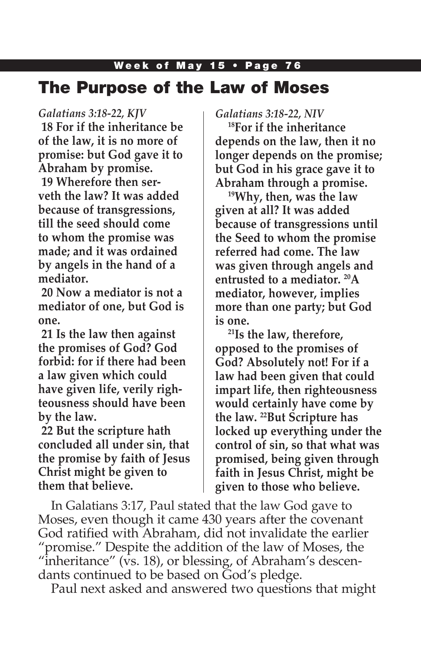# Week of May 15 • Page 76 The Purpose of the Law of Moses

#### *Galatians 3:18-22, KJV*

**18 For if the inheritance be of the law, it is no more of promise: but God gave it to Abraham by promise. 19 Wherefore then serveth the law? It was added because of transgressions, till the seed should come to whom the promise was made; and it was ordained by angels in the hand of a mediator.**

**20 Now a mediator is not a mediator of one, but God is one.**

**21 Is the law then against the promises of God? God forbid: for if there had been a law given which could have given life, verily righteousness should have been by the law.**

**22 But the scripture hath concluded all under sin, that the promise by faith of Jesus Christ might be given to them that believe.**

*Galatians 3:18-22, NIV*

**18For if the inheritance depends on the law, then it no longer depends on the promise; but God in his grace gave it to Abraham through a promise.**

**19Why, then, was the law given at all? It was added because of transgressions until the Seed to whom the promise referred had come. The law was given through angels and entrusted to a mediator. 20A mediator, however, implies more than one party; but God is one.**

**21Is the law, therefore, opposed to the promises of God? Absolutely not! For if a law had been given that could impart life, then righteousness would certainly have come by the law. 22But Scripture has locked up everything under the control of sin, so that what was promised, being given through faith in Jesus Christ, might be given to those who believe.**

In Galatians 3:17, Paul stated that the law God gave to Moses, even though it came 430 years after the covenant God ratified with Abraham, did not invalidate the earlier "promise." Despite the addition of the law of Moses, the "inheritance" (vs. 18), or blessing, of Abraham's descendants continued to be based on God's pledge.

Paul next asked and answered two questions that might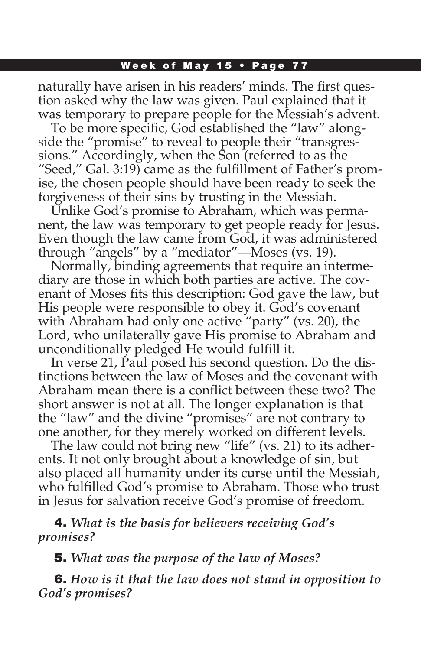#### Week of May 15 • Page 77

naturally have arisen in his readers' minds. The first question asked why the law was given. Paul explained that it was temporary to prepare people for the Messiah's advent.

To be more specific, God established the "law" alongside the "promise" to reveal to people their "transgressions." Accordingly, when the Son (referred to as the "Seed," Gal. 3:19) came as the fulfillment of Father's promise, the chosen people should have been ready to seek the forgiveness of their sins by trusting in the Messiah.

Unlike God's promise to Abraham, which was permanent, the law was temporary to get people ready for Jesus. Even though the law came from God, it was administered through "angels" by a "mediator"—Moses (vs. 19).

Normally, binding agreements that require an intermediary are those in which both parties are active. The covenant of Moses fits this description: God gave the law, but His people were responsible to obey it. God's covenant with Abraham had only one active "party" (vs. 20), the Lord, who unilaterally gave His promise to Abraham and unconditionally pledged He would fulfill it.

In verse 21, Paul posed his second question. Do the distinctions between the law of Moses and the covenant with Abraham mean there is a conflict between these two? The short answer is not at all. The longer explanation is that the "law" and the divine "promises" are not contrary to one another, for they merely worked on different levels.

The law could not bring new "life" (vs. 21) to its adherents. It not only brought about a knowledge of sin, but also placed all humanity under its curse until the Messiah, who fulfilled God's promise to Abraham. Those who trust in Jesus for salvation receive God's promise of freedom.

4. *What is the basis for believers receiving God's promises?*

5. *What was the purpose of the law of Moses?*

6. *How is it that the law does not stand in opposition to God's promises?*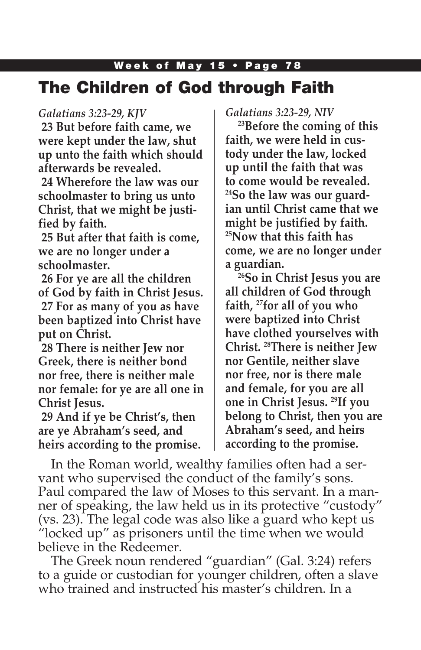# Week of May 15 • Page 78 The Children of God through Faith

### *Galatians 3:23-29, KJV*

**23 But before faith came, we were kept under the law, shut up unto the faith which should afterwards be revealed.**

**24 Wherefore the law was our schoolmaster to bring us unto Christ, that we might be justified by faith.**

**25 But after that faith is come, we are no longer under a schoolmaster.**

**26 For ye are all the children of God by faith in Christ Jesus. 27 For as many of you as have been baptized into Christ have put on Christ.**

**28 There is neither Jew nor Greek, there is neither bond nor free, there is neither male nor female: for ye are all one in Christ Jesus.**

**29 And if ye be Christ's, then are ye Abraham's seed, and heirs according to the promise.** *Galatians 3:23-29, NIV*

**23Before the coming of this faith, we were held in custody under the law, locked up until the faith that was to come would be revealed. 24So the law was our guardian until Christ came that we might be justified by faith. 25Now that this faith has come, we are no longer under a guardian.**

**26So in Christ Jesus you are all children of God through faith, 27for all of you who were baptized into Christ have clothed yourselves with Christ. 28There is neither Jew nor Gentile, neither slave nor free, nor is there male and female, for you are all one in Christ Jesus. 29If you belong to Christ, then you are Abraham's seed, and heirs according to the promise.**

In the Roman world, wealthy families often had a servant who supervised the conduct of the family's sons. Paul compared the law of Moses to this servant. In a manner of speaking, the law held us in its protective "custody" (vs. 23). The legal code was also like a guard who kept us "locked up" as prisoners until the time when we would believe in the Redeemer.

The Greek noun rendered "guardian" (Gal. 3:24) refers to a guide or custodian for younger children, often a slave who trained and instructed his master's children. In a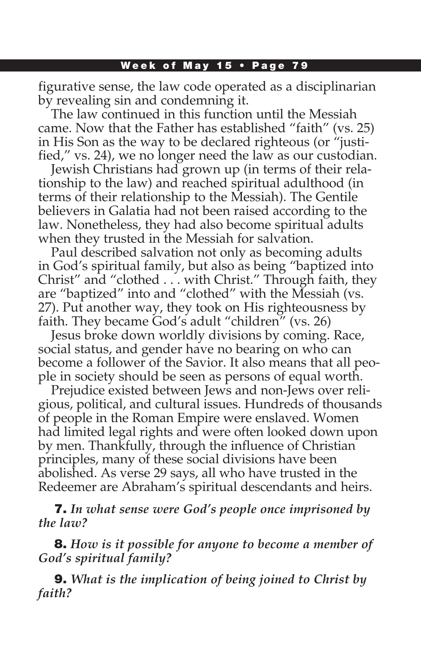#### Week of May 15 • Page 79

figurative sense, the law code operated as a disciplinarian by revealing sin and condemning it.

The law continued in this function until the Messiah came. Now that the Father has established "faith" (vs. 25) in His Son as the way to be declared righteous (or "justified," vs. 24), we no longer need the law as our custodian.

Jewish Christians had grown up (in terms of their relationship to the law) and reached spiritual adulthood (in terms of their relationship to the Messiah). The Gentile believers in Galatia had not been raised according to the law. Nonetheless, they had also become spiritual adults when they trusted in the Messiah for salvation.

Paul described salvation not only as becoming adults in God's spiritual family, but also as being "baptized into Christ" and "clothed . . . with Christ." Through faith, they are "baptized" into and "clothed" with the Messiah (vs. 27). Put another way, they took on His righteousness by faith. They became God's adult "children" (vs. 26)

Jesus broke down worldly divisions by coming. Race, social status, and gender have no bearing on who can become a follower of the Savior. It also means that all people in society should be seen as persons of equal worth.

Prejudice existed between Jews and non-Jews over religious, political, and cultural issues. Hundreds of thousands of people in the Roman Empire were enslaved. Women had limited legal rights and were often looked down upon by men. Thankfully, through the influence of Christian principles, many of these social divisions have been abolished. As verse 29 says, all who have trusted in the Redeemer are Abraham's spiritual descendants and heirs.

7. *In what sense were God's people once imprisoned by the law?*

8. *How is it possible for anyone to become a member of God's spiritual family?*

9. *What is the implication of being joined to Christ by faith?*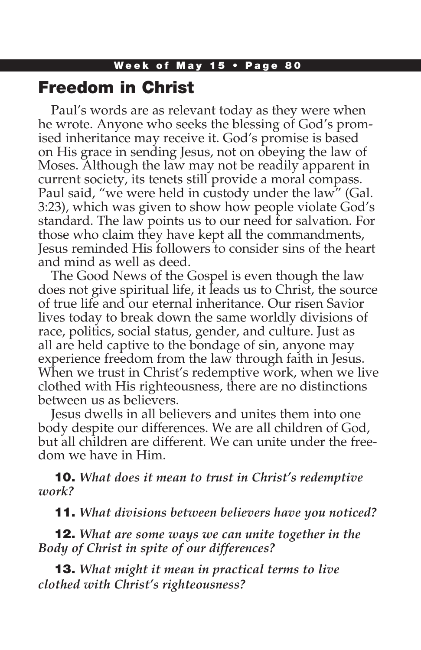### Freedom in Christ

Paul's words are as relevant today as they were when he wrote. Anyone who seeks the blessing of God's promised inheritance may receive it. God's promise is based on His grace in sending Jesus, not on obeying the law of Moses. Although the law may not be readily apparent in current society, its tenets still provide a moral compass. Paul said, "we were held in custody under the law" (Gal. 3:23), which was given to show how people violate God's standard. The law points us to our need for salvation. For those who claim they have kept all the commandments, Jesus reminded His followers to consider sins of the heart and mind as well as deed.

The Good News of the Gospel is even though the law does not give spiritual life, it leads us to Christ, the source of true life and our eternal inheritance. Our risen Savior lives today to break down the same worldly divisions of race, politics, social status, gender, and culture. Just as all are held captive to the bondage of sin, anyone may experience freedom from the law through faith in Jesus. When we trust in Christ's redemptive work, when we live clothed with His righteousness, there are no distinctions between us as believers.

Jesus dwells in all believers and unites them into one body despite our differences. We are all children of God, but all children are different. We can unite under the freedom we have in Him.

10. *What does it mean to trust in Christ's redemptive work?*

11. *What divisions between believers have you noticed?*

12. *What are some ways we can unite together in the Body of Christ in spite of our differences?*

13. *What might it mean in practical terms to live clothed with Christ's righteousness?*